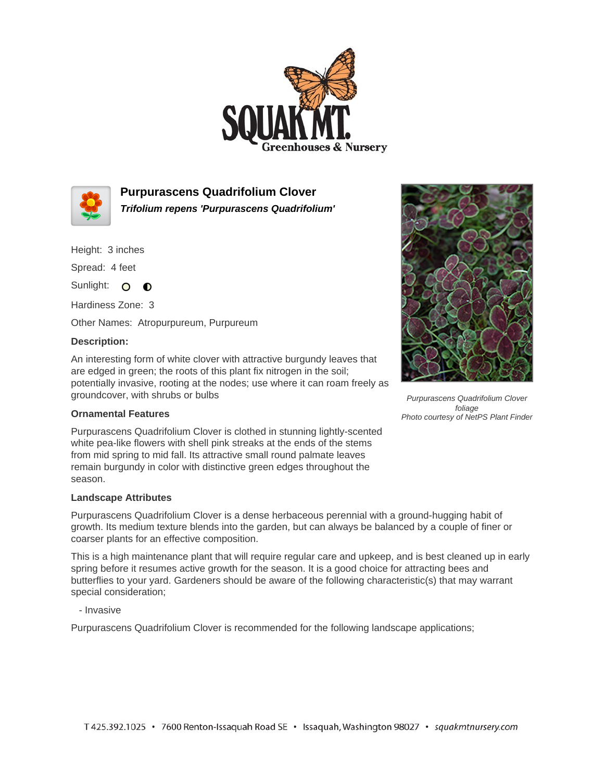



**Purpurascens Quadrifolium Clover Trifolium repens 'Purpurascens Quadrifolium'**

Height: 3 inches

Spread: 4 feet

Sunlight: O O

Hardiness Zone: 3

Other Names: Atropurpureum, Purpureum

## **Description:**

An interesting form of white clover with attractive burgundy leaves that are edged in green; the roots of this plant fix nitrogen in the soil; potentially invasive, rooting at the nodes; use where it can roam freely as groundcover, with shrubs or bulbs

## **Ornamental Features**

Purpurascens Quadrifolium Clover is clothed in stunning lightly-scented white pea-like flowers with shell pink streaks at the ends of the stems from mid spring to mid fall. Its attractive small round palmate leaves remain burgundy in color with distinctive green edges throughout the season.

## **Landscape Attributes**

Purpurascens Quadrifolium Clover is a dense herbaceous perennial with a ground-hugging habit of growth. Its medium texture blends into the garden, but can always be balanced by a couple of finer or coarser plants for an effective composition.

This is a high maintenance plant that will require regular care and upkeep, and is best cleaned up in early spring before it resumes active growth for the season. It is a good choice for attracting bees and butterflies to your yard. Gardeners should be aware of the following characteristic(s) that may warrant special consideration;

- Invasive

Purpurascens Quadrifolium Clover is recommended for the following landscape applications;



Purpurascens Quadrifolium Clover foliage Photo courtesy of NetPS Plant Finder